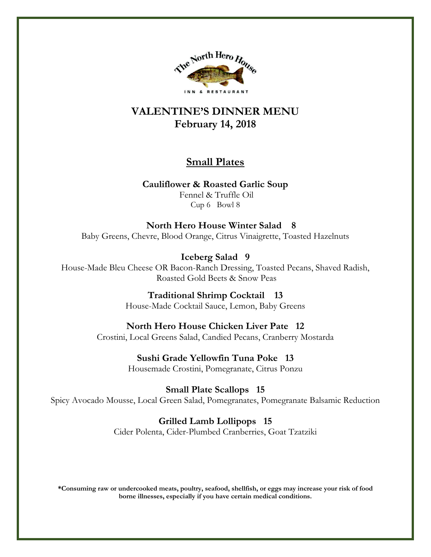

# **VALENTINE'S DINNER MENU February 14, 2018**

# **Small Plates**

**Cauliflower & Roasted Garlic Soup** Fennel & Truffle Oil Cup 6 Bowl 8

 **North Hero House Winter Salad 8** Baby Greens, Chevre, Blood Orange, Citrus Vinaigrette, Toasted Hazelnuts

**Iceberg Salad 9**  House-Made Bleu Cheese OR Bacon-Ranch Dressing, Toasted Pecans, Shaved Radish, Roasted Gold Beets & Snow Peas

> **Traditional Shrimp Cocktail 13** House-Made Cocktail Sauce, Lemon, Baby Greens

**North Hero House Chicken Liver Pate 12**  Crostini, Local Greens Salad, Candied Pecans, Cranberry Mostarda

> **Sushi Grade Yellowfin Tuna Poke 13** Housemade Crostini, Pomegranate, Citrus Ponzu

**Small Plate Scallops 15**  Spicy Avocado Mousse, Local Green Salad, Pomegranates, Pomegranate Balsamic Reduction

**Grilled Lamb Lollipops 15** 

Cider Polenta, Cider-Plumbed Cranberries, Goat Tzatziki

**\*Consuming raw or undercooked meats, poultry, seafood, shellfish, or eggs may increase your risk of food borne illnesses, especially if you have certain medical conditions.**